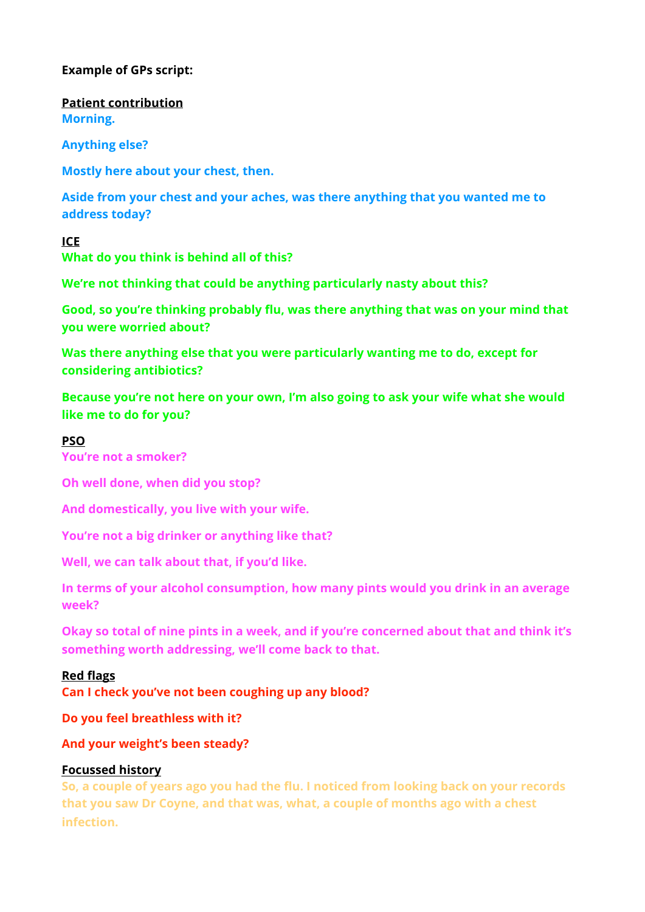# **Example of GPs script:**

**Patient contribution Morning.** 

**Anything else?** 

**Mostly here about your chest, then.** 

**Aside from your chest and your aches, was there anything that you wanted me to address today?** 

## **ICE**

**What do you think is behind all of this?**

**We're not thinking that could be anything particularly nasty about this?** 

**Good, so you're thinking probably flu, was there anything that was on your mind that you were worried about?** 

**Was there anything else that you were particularly wanting me to do, except for considering antibiotics?** 

**Because you're not here on your own, I'm also going to ask your wife what she would like me to do for you?** 

## **PSO**

**You're not a smoker?** 

**Oh well done, when did you stop?** 

**And domestically, you live with your wife.** 

**You're not a big drinker or anything like that?** 

**Well, we can talk about that, if you'd like.** 

**In terms of your alcohol consumption, how many pints would you drink in an average week?** 

**Okay so total of nine pints in a week, and if you're concerned about that and think it's something worth addressing, we'll come back to that.** 

#### **Red flags**

**Can I check you've not been coughing up any blood?** 

**Do you feel breathless with it?** 

**And your weight's been steady?** 

#### **Focussed history**

**So, a couple of years ago you had the flu. I noticed from looking back on your records that you saw Dr Coyne, and that was, what, a couple of months ago with a chest infection.**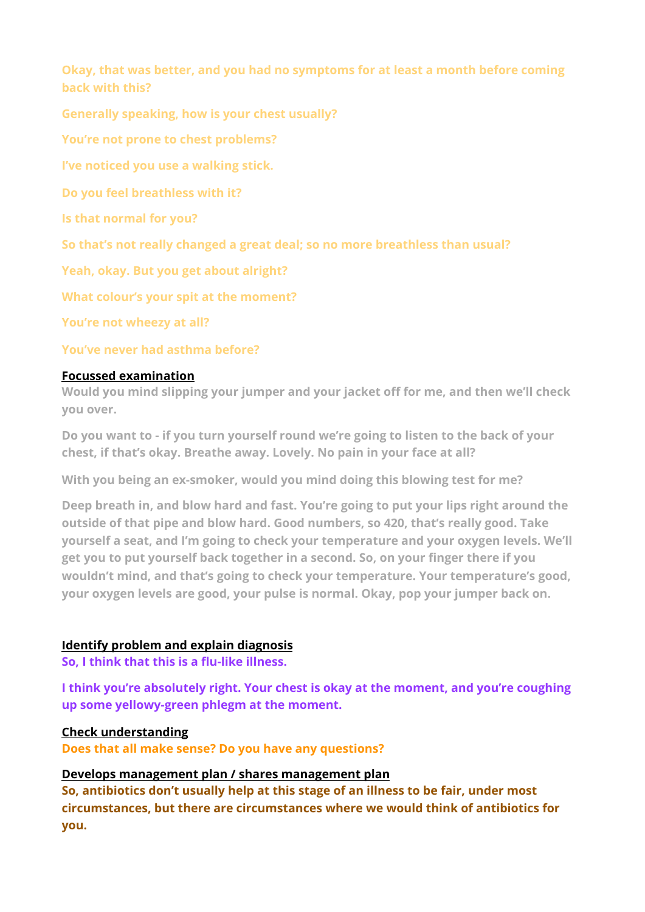**Okay, that was better, and you had no symptoms for at least a month before coming back with this?** 

**Generally speaking, how is your chest usually?** 

**You're not prone to chest problems?**

**I've noticed you use a walking stick.** 

**Do you feel breathless with it?** 

**Is that normal for you?** 

**So that's not really changed a great deal; so no more breathless than usual?** 

**Yeah, okay. But you get about alright?** 

**What colour's your spit at the moment?** 

**You're not wheezy at all?** 

# **You've never had asthma before?**

# **Focussed examination**

**Would you mind slipping your jumper and your jacket off for me, and then we'll check you over.** 

**Do you want to - if you turn yourself round we're going to listen to the back of your chest, if that's okay. Breathe away. Lovely. No pain in your face at all?** 

**With you being an ex-smoker, would you mind doing this blowing test for me?** 

**Deep breath in, and blow hard and fast. You're going to put your lips right around the outside of that pipe and blow hard. Good numbers, so 420, that's really good. Take yourself a seat, and I'm going to check your temperature and your oxygen levels. We'll get you to put yourself back together in a second. So, on your finger there if you wouldn't mind, and that's going to check your temperature. Your temperature's good, your oxygen levels are good, your pulse is normal. Okay, pop your jumper back on.** 

# **Identify problem and explain diagnosis**

**So, I think that this is a flu-like illness.** 

**I think you're absolutely right. Your chest is okay at the moment, and you're coughing up some yellowy-green phlegm at the moment.** 

# **Check understanding**

**Does that all make sense? Do you have any questions?** 

## **Develops management plan / shares management plan**

**So, antibiotics don't usually help at this stage of an illness to be fair, under most circumstances, but there are circumstances where we would think of antibiotics for you.**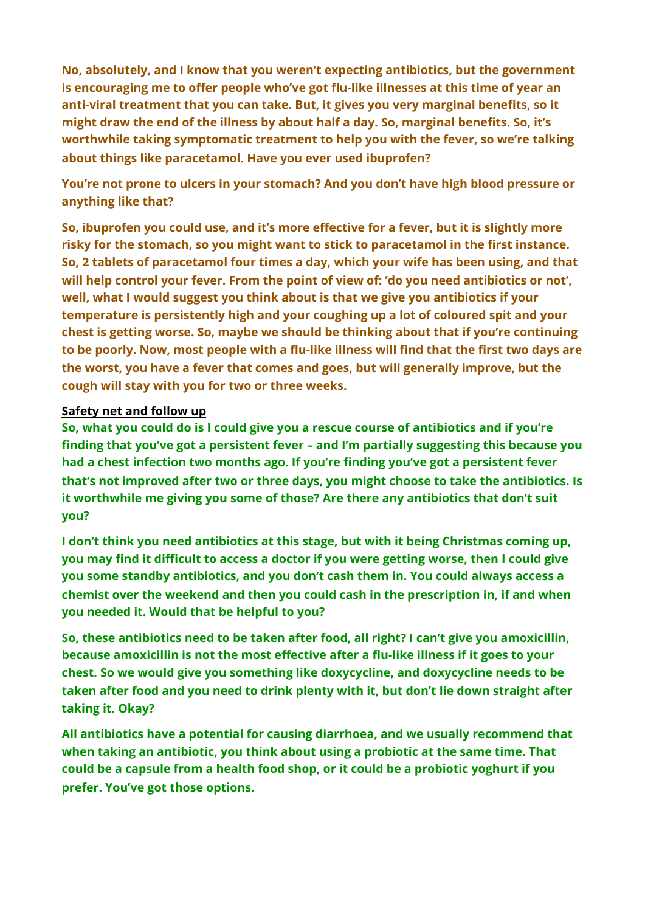**No, absolutely, and I know that you weren't expecting antibiotics, but the government is encouraging me to offer people who've got flu-like illnesses at this time of year an anti-viral treatment that you can take. But, it gives you very marginal benefits, so it might draw the end of the illness by about half a day. So, marginal benefits. So, it's worthwhile taking symptomatic treatment to help you with the fever, so we're talking about things like paracetamol. Have you ever used ibuprofen?** 

**You're not prone to ulcers in your stomach? And you don't have high blood pressure or anything like that?** 

**So, ibuprofen you could use, and it's more effective for a fever, but it is slightly more risky for the stomach, so you might want to stick to paracetamol in the first instance. So, 2 tablets of paracetamol four times a day, which your wife has been using, and that will help control your fever. From the point of view of: 'do you need antibiotics or not', well, what I would suggest you think about is that we give you antibiotics if your temperature is persistently high and your coughing up a lot of coloured spit and your chest is getting worse. So, maybe we should be thinking about that if you're continuing to be poorly. Now, most people with a flu-like illness will find that the first two days are the worst, you have a fever that comes and goes, but will generally improve, but the cough will stay with you for two or three weeks.** 

## **Safety net and follow up**

**So, what you could do is I could give you a rescue course of antibiotics and if you're finding that you've got a persistent fever – and I'm partially suggesting this because you had a chest infection two months ago. If you're finding you've got a persistent fever that's not improved after two or three days, you might choose to take the antibiotics. Is it worthwhile me giving you some of those? Are there any antibiotics that don't suit you?** 

**I don't think you need antibiotics at this stage, but with it being Christmas coming up, you may find it difficult to access a doctor if you were getting worse, then I could give you some standby antibiotics, and you don't cash them in. You could always access a chemist over the weekend and then you could cash in the prescription in, if and when you needed it. Would that be helpful to you?** 

**So, these antibiotics need to be taken after food, all right? I can't give you amoxicillin, because amoxicillin is not the most effective after a flu-like illness if it goes to your chest. So we would give you something like doxycycline, and doxycycline needs to be taken after food and you need to drink plenty with it, but don't lie down straight after taking it. Okay?** 

**All antibiotics have a potential for causing diarrhoea, and we usually recommend that when taking an antibiotic, you think about using a probiotic at the same time. That could be a capsule from a health food shop, or it could be a probiotic yoghurt if you prefer. You've got those options.**